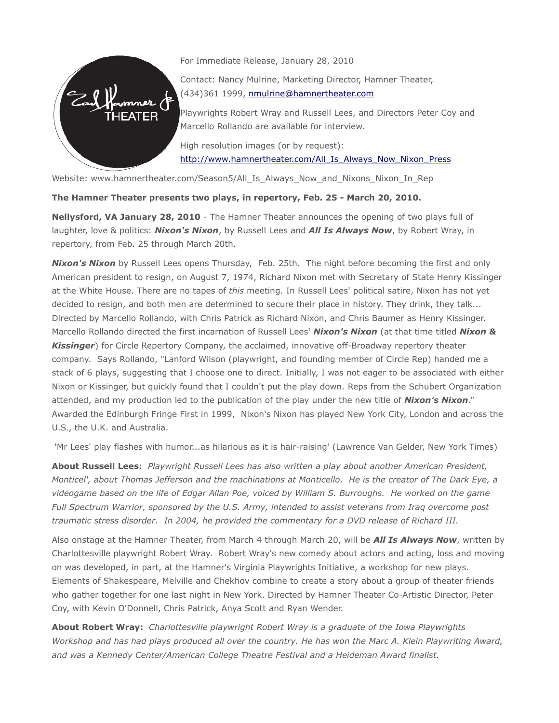

For Immediate Release, January 28, 2010

Contact: Nancy Mulrine, Marketing Director, Hamner Theater, (434)361 1999, [nmulrine@hamnertheater.com](mailto:nmulrine@hamnertheater.com)

Playwrights Robert Wray and Russell Lees, and Directors Peter Coy and Marcello Rollando are available for interview.

High resolution images (or by request): [http://www.hamnertheater.com/All\\_Is\\_Always\\_Now\\_Nixon\\_Press](http://www.hamnertheater.com/All_Is_Always_Now_Nixon_Press)

Website: www.hamnertheater.com/Season5/All\_Is\_Always\_Now\_and\_Nixons\_Nixon\_In\_Rep

**The Hamner Theater presents two plays, in repertory, Feb. 25 - March 20, 2010.**

**Nellysford, VA January 28, 2010** - The Hamner Theater announces the opening of two plays full of laughter, love & politics: *Nixon's Nixon*, by Russell Lees and *All Is Always Now*, by Robert Wray, in repertory, from Feb. 25 through March 20th.

*Nixon's Nixon* by Russell Lees opens Thursday, Feb. 25th. The night before becoming the first and only American president to resign, on August 7, 1974, Richard Nixon met with Secretary of State Henry Kissinger at the White House. There are no tapes of *this* meeting. In Russell Lees' political satire, Nixon has not yet decided to resign, and both men are determined to secure their place in history. They drink, they talk... Directed by Marcello Rollando, with Chris Patrick as Richard Nixon, and Chris Baumer as Henry Kissinger. Marcello Rollando directed the first incarnation of Russell Lees' *Nixon's Nixon* (at that time titled *Nixon & Kissinger*) for Circle Repertory Company, the acclaimed, innovative off-Broadway repertory theater company. Says Rollando, "Lanford Wilson (playwright, and founding member of Circle Rep) handed me a stack of 6 plays, suggesting that I choose one to direct. Initially, I was not eager to be associated with either Nixon or Kissinger, but quickly found that I couldn't put the play down. Reps from the Schubert Organization attended, and my production led to the publication of the play under the new title of *Nixon's Nixon*." Awarded the Edinburgh Fringe First in 1999, Nixon's Nixon has played New York City, London and across the U.S., the U.K. and Australia.

'Mr Lees' play flashes with humor...as hilarious as it is hair-raising' (Lawrence Van Gelder, New York Times)

**About Russell Lees:** *Playwright Russell Lees has also written a play about another American President, Monticel', about Thomas Jefferson and the machinations at Monticello. He is the creator of The Dark Eye, a videogame based on the life of Edgar Allan Poe, voiced by William S. Burroughs. He worked on the game Full Spectrum Warrior, sponsored by the U.S. Army, intended to assist veterans from Iraq overcome post traumatic stress disorder. In 2004, he provided the commentary for a DVD release of Richard III.*

Also onstage at the Hamner Theater, from March 4 through March 20, will be *All Is Always Now*, written by Charlottesville playwright Robert Wray. Robert Wray's new comedy about actors and acting, loss and moving on was developed, in part, at the Hamner's Virginia Playwrights Initiative, a workshop for new plays. Elements of Shakespeare, Melville and Chekhov combine to create a story about a group of theater friends who gather together for one last night in New York. Directed by Hamner Theater Co-Artistic Director, Peter Coy, with Kevin O'Donnell, Chris Patrick, Anya Scott and Ryan Wender.

**About Robert Wray:** *Charlottesville playwright Robert Wray is a graduate of the Iowa Playwrights Workshop and has had plays produced all over the country. He has won the Marc A. Klein Playwriting Award, and was a Kennedy Center/American College Theatre Festival and a Heideman Award finalist.*